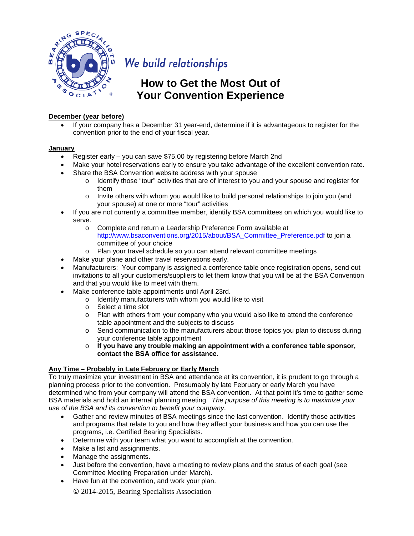

# We build relationships

## **How to Get the Most Out of Your Convention Experience**

#### **December (year before)**

• If your company has a December 31 year-end, determine if it is advantageous to register for the convention prior to the end of your fiscal year.

#### **January**

- Register early you can save \$75.00 by registering before March 2nd
- Make your hotel reservations early to ensure you take advantage of the excellent convention rate.
- Share the BSA Convention website address with your spouse
	- $\circ$  Identify those "tour" activities that are of interest to you and your spouse and register for them
	- o Invite others with whom you would like to build personal relationships to join you (and your spouse) at one or more "tour" activities
- If you are not currently a committee member, identify BSA committees on which you would like to serve.
	- o Complete and return a Leadership Preference Form available at [http://www.bsaconventions.org/2015/about/BSA\\_Committee\\_Preference.pdf](http://www.bsaconventions.org/2015/about/BSA_Committee_Preference.pdf) to join a committee of your choice
	- o Plan your travel schedule so you can attend relevant committee meetings
- Make your plane and other travel reservations early.
- Manufacturers: Your company is assigned a conference table once registration opens, send out invitations to all your customers/suppliers to let them know that you will be at the BSA Convention and that you would like to meet with them.
- Make conference table appointments until April 23rd.
	- o Identify manufacturers with whom you would like to visit
	- o Select a time slot
	- o Plan with others from your company who you would also like to attend the conference table appointment and the subjects to discuss
	- o Send communication to the manufacturers about those topics you plan to discuss during your conference table appointment
	- o **If you have any trouble making an appointment with a conference table sponsor, contact the BSA office for assistance.**

#### **Any Time – Probably in Late February or Early March**

To truly maximize your investment in BSA and attendance at its convention, it is prudent to go through a planning process prior to the convention. Presumably by late February or early March you have determined who from your company will attend the BSA convention. At that point it's time to gather some BSA materials and hold an internal planning meeting. *The purpose of this meeting is to maximize your use of the BSA and its convention to benefit your company*.

- Gather and review minutes of BSA meetings since the last convention. Identify those activities and programs that relate to you and how they affect your business and how you can use the programs, i.e. Certified Bearing Specialists.
- Determine with your team what you want to accomplish at the convention.
- Make a list and assignments.
- Manage the assignments.
- Just before the convention, have a meeting to review plans and the status of each goal (see Committee Meeting Preparation under March).
- Have fun at the convention, and work your plan.

© 2014-2015, Bearing Specialists Association